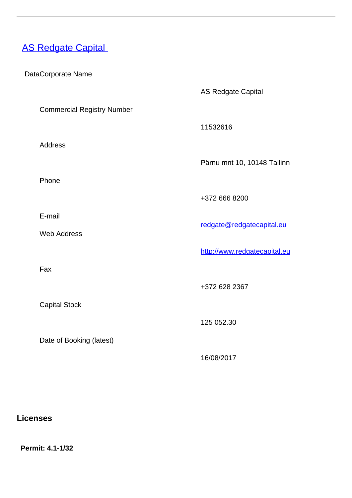# <span id="page-0-0"></span>**[AS Redgate Capital](/en/investment-market/investment-firms-0/investment-market/licenced-investment-firms-estonia/redgate-capital)**

DataCorporate Name

AS Redgate Capital

11532616

Commercial Registry Number

Address

Pärnu mnt 10, 10148 Tallinn

Phone

E-mail

Web Address

Fax and the contract of the contract of the contract of the contract of the contract of the contract of the contract of the contract of the contract of the contract of the contract of the contract of the contract of the co

Capital Stock

Date of Booking (latest)

redgate@redgatecapital.eu

+372 666 8200

<http://www.redgatecapital.eu>

+372 628 2367

125 052.30

16/08/2017

**Licenses**

 **Permit: 4.1-1/32**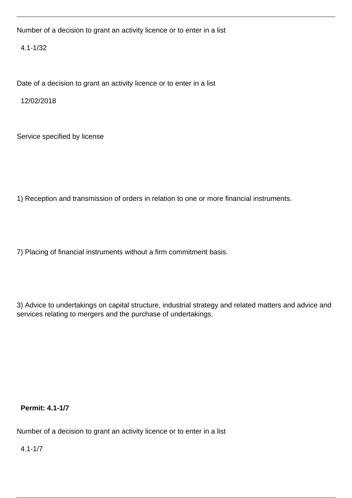Number of a decision to grant an activity licence or to enter in a list

4.1-1/32

Date of a decision to grant an activity licence or to enter in a list

12/02/2018

Service specified by license

1) Reception and transmission of orders in relation to one or more financial instruments.

7) Placing of financial instruments without a firm commitment basis.

3) Advice to undertakings on capital structure, industrial strategy and related matters and advice and services relating to mergers and the purchase of undertakings.

 **Permit: 4.1-1/7** 

Number of a decision to grant an activity licence or to enter in a list

4.1-1/7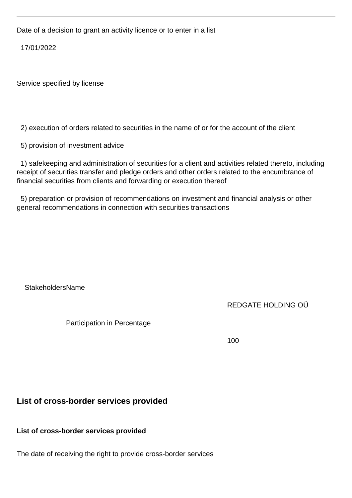Date of a decision to grant an activity licence or to enter in a list

17/01/2022

Service specified by license

2) execution of orders related to securities in the name of or for the account of the client

5) provision of investment advice

 1) safekeeping and administration of securities for a client and activities related thereto, including receipt of securities transfer and pledge orders and other orders related to the encumbrance of financial securities from clients and forwarding or execution thereof

 5) preparation or provision of recommendations on investment and financial analysis or other general recommendations in connection with securities transactions

### StakeholdersName

## REDGATE HOLDING OÜ

Participation in Percentage

100

## **List of cross-border services provided**

**List of cross-border services provided**

The date of receiving the right to provide cross-border services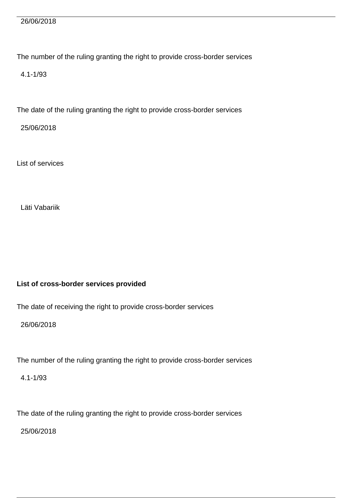#### 26/06/2018

The number of the ruling granting the right to provide cross-border services

4.1-1/93

The date of the ruling granting the right to provide cross-border services

25/06/2018

List of services

Läti Vabariik

### **List of cross-border services provided**

The date of receiving the right to provide cross-border services

26/06/2018

The number of the ruling granting the right to provide cross-border services

4.1-1/93

The date of the ruling granting the right to provide cross-border services

25/06/2018